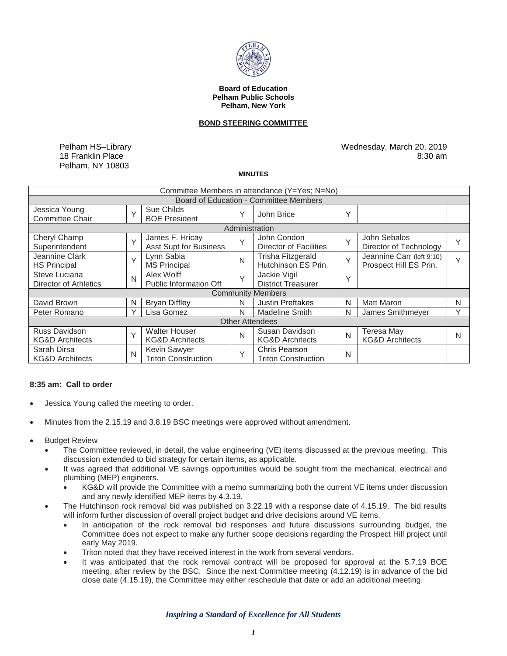

#### **Board of Education Pelham Public Schools Pelham, New York**

# **BOND STEERING COMMITTEE**

Pelham HS–Library 18 Franklin Place Pelham, NY 10803

Wednesday, March 20, 2019 8:30 am

### **MINUTES**

| Committee Members in attendance (Y=Yes; N=No)      |              |                                                    |              |                                                    |        |                                                     |        |
|----------------------------------------------------|--------------|----------------------------------------------------|--------------|----------------------------------------------------|--------|-----------------------------------------------------|--------|
| Board of Education - Committee Members             |              |                                                    |              |                                                    |        |                                                     |        |
| Jessica Young<br><b>Committee Chair</b>            | $\vee$       | Sue Childs<br><b>BOE President</b>                 | Υ            | John Brice                                         | Y      |                                                     |        |
| Administration                                     |              |                                                    |              |                                                    |        |                                                     |        |
| Cheryl Champ<br>Superintendent                     | $\vee$       | James F. Hricay<br><b>Asst Supt for Business</b>   | Υ            | John Condon<br>Director of Facilities              | $\vee$ | John Sebalos<br>Director of Technology              | Y      |
| Jeannine Clark<br><b>HS Principal</b>              | Y            | Lynn Sabia<br><b>MS Principal</b>                  | N            | <b>Trisha Fitzgerald</b><br>Hutchinson ES Prin.    | $\vee$ | Jeannine Carr (left 9:10)<br>Prospect Hill ES Prin. | $\vee$ |
| Steve Luciana<br>Director of Athletics             | $\mathsf{N}$ | Alex Wolff<br>Public Information Off               | Υ            | Jackie Vigil<br><b>District Treasurer</b>          | Υ      |                                                     |        |
| <b>Community Members</b>                           |              |                                                    |              |                                                    |        |                                                     |        |
| David Brown                                        | N            | <b>Bryan Diffley</b>                               | N            | <b>Justin Preftakes</b>                            | N      | <b>Matt Maron</b>                                   | N      |
| Peter Romano                                       | Υ            | Lisa Gomez                                         | N            | <b>Madeline Smith</b>                              | N      | James Smithmeyer                                    | V      |
| <b>Other Attendees</b>                             |              |                                                    |              |                                                    |        |                                                     |        |
| <b>Russ Davidson</b><br><b>KG&amp;D Architects</b> | $\vee$       | <b>Walter Houser</b><br><b>KG&amp;D Architects</b> | N            | Susan Davidson<br><b>KG&amp;D Architects</b>       | N      | Teresa May<br><b>KG&amp;D Architects</b>            | N      |
| Sarah Dirsa<br><b>KG&amp;D Architects</b>          | N            | Kevin Sawyer<br><b>Triton Construction</b>         | $\checkmark$ | <b>Chris Pearson</b><br><b>Triton Construction</b> | N      |                                                     |        |

# **8:35 am: Call to order**

- Jessica Young called the meeting to order.
- Minutes from the 2.15.19 and 3.8.19 BSC meetings were approved without amendment.
- Budget Review
	- The Committee reviewed, in detail, the value engineering (VE) items discussed at the previous meeting. This discussion extended to bid strategy for certain items, as applicable.
	- It was agreed that additional VE savings opportunities would be sought from the mechanical, electrical and plumbing (MEP) engineers.
		- KG&D will provide the Committee with a memo summarizing both the current VE items under discussion and any newly identified MEP items by 4.3.19.
	- The Hutchinson rock removal bid was published on 3.22.19 with a response date of 4.15.19. The bid results will inform further discussion of overall project budget and drive decisions around VE items.
		- In anticipation of the rock removal bid responses and future discussions surrounding budget, the Committee does not expect to make any further scope decisions regarding the Prospect Hill project until early May 2019.
		- Triton noted that they have received interest in the work from several vendors.
		- It was anticipated that the rock removal contract will be proposed for approval at the 5.7.19 BOE meeting, after review by the BSC. Since the next Committee meeting (4.12.19) is in advance of the bid close date (4.15.19), the Committee may either reschedule that date or add an additional meeting.

*Inspiring a Standard of Excellence for All Students*